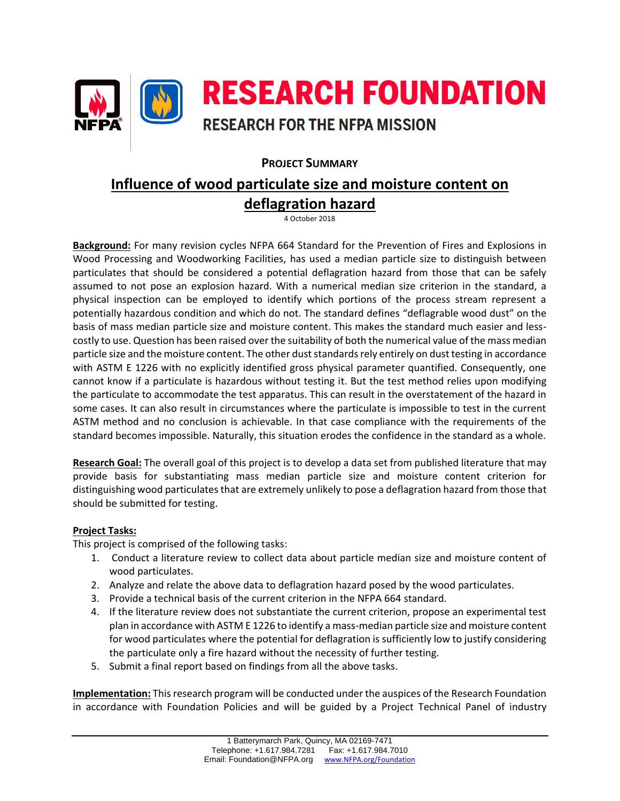

# **PROJECT SUMMARY**

# **Influence of wood particulate size and moisture content on deflagration hazard**

4 October 2018

**Background:** For many revision cycles NFPA 664 Standard for the Prevention of Fires and Explosions in Wood Processing and Woodworking Facilities, has used a median particle size to distinguish between particulates that should be considered a potential deflagration hazard from those that can be safely assumed to not pose an explosion hazard. With a numerical median size criterion in the standard, a physical inspection can be employed to identify which portions of the process stream represent a potentially hazardous condition and which do not. The standard defines "deflagrable wood dust" on the basis of mass median particle size and moisture content. This makes the standard much easier and lesscostly to use. Question has been raised over the suitability of both the numerical value of the mass median particle size and the moisture content. The other dust standards rely entirely on dust testing in accordance with ASTM E 1226 with no explicitly identified gross physical parameter quantified. Consequently, one cannot know if a particulate is hazardous without testing it. But the test method relies upon modifying the particulate to accommodate the test apparatus. This can result in the overstatement of the hazard in some cases. It can also result in circumstances where the particulate is impossible to test in the current ASTM method and no conclusion is achievable. In that case compliance with the requirements of the standard becomes impossible. Naturally, this situation erodes the confidence in the standard as a whole.

**Research Goal:** The overall goal of this project is to develop a data set from published literature that may provide basis for substantiating mass median particle size and moisture content criterion for distinguishing wood particulates that are extremely unlikely to pose a deflagration hazard from those that should be submitted for testing.

## **Project Tasks:**

This project is comprised of the following tasks:

- 1. Conduct a literature review to collect data about particle median size and moisture content of wood particulates.
- 2. Analyze and relate the above data to deflagration hazard posed by the wood particulates.
- 3. Provide a technical basis of the current criterion in the NFPA 664 standard.
- 4. If the literature review does not substantiate the current criterion, propose an experimental test plan in accordance with ASTM E 1226 to identify a mass-median particle size and moisture content for wood particulates where the potential for deflagration is sufficiently low to justify considering the particulate only a fire hazard without the necessity of further testing.
- 5. Submit a final report based on findings from all the above tasks.

**Implementation:** This research program will be conducted under the auspices of the Research Foundation in accordance with Foundation Policies and will be guided by a Project Technical Panel of industry